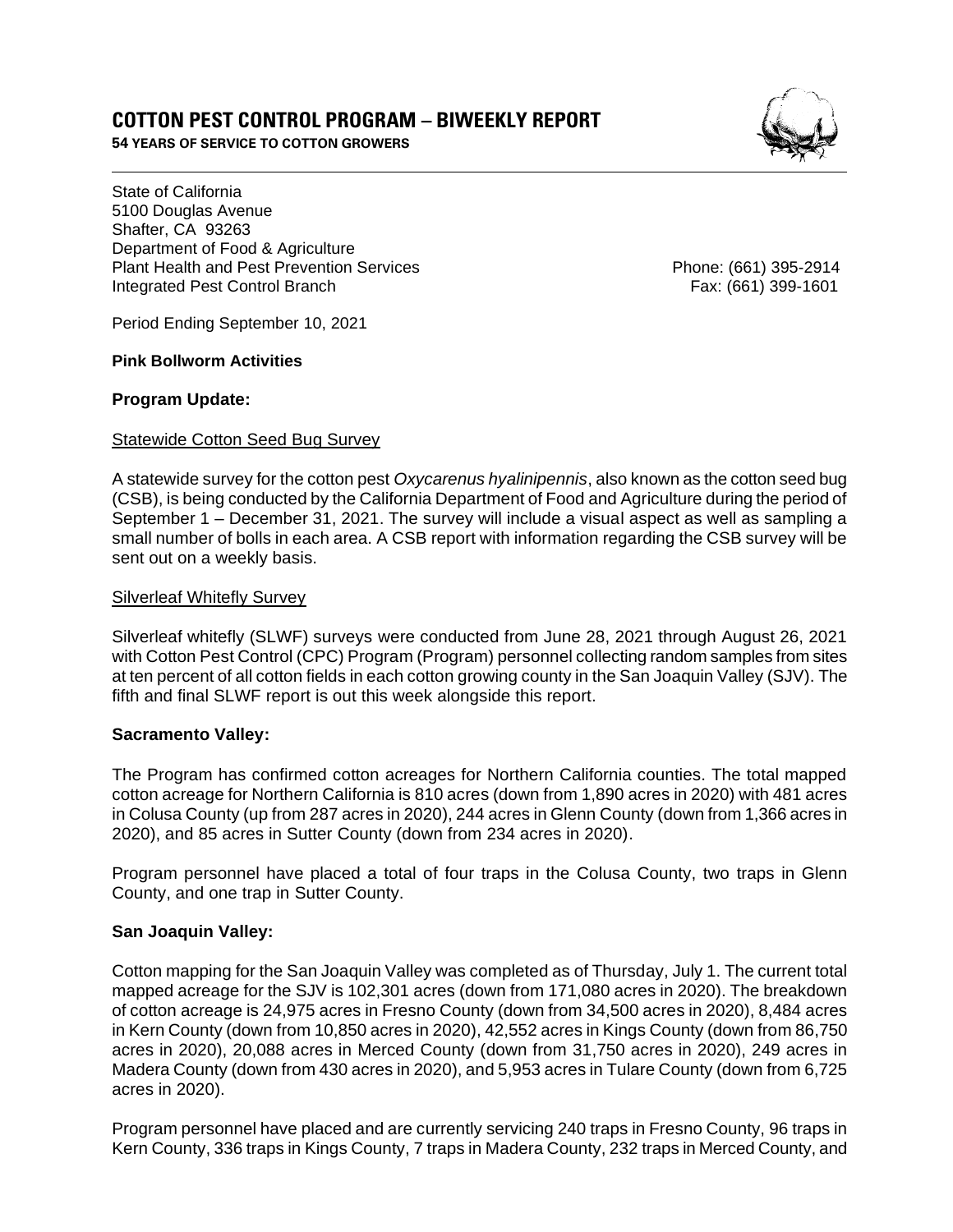# **COTTON PEST CONTROL PROGRAM – BIWEEKLY REPORT**

**54 YEARS OF SERVICE TO COTTON GROWERS** 

State of California 5100 Douglas Avenue Shafter, CA 93263 Department of Food & Agriculture Plant Health and Pest Prevention Services **Phone: (661)** 395-2914 Integrated Pest Control Branch Fax: (661) 399-1601

Period Ending September 10, 2021

### **Pink Bollworm Activities**

### **Program Update:**

### Statewide Cotton Seed Bug Survey

A statewide survey for the cotton pest *Oxycarenus hyalinipennis*, also known as the cotton seed bug (CSB), is being conducted by the California Department of Food and Agriculture during the period of September 1 – December 31, 2021. The survey will include a visual aspect as well as sampling a small number of bolls in each area. A CSB report with information regarding the CSB survey will be sent out on a weekly basis.

### Silverleaf Whitefly Survey

Silverleaf whitefly (SLWF) surveys were conducted from June 28, 2021 through August 26, 2021 with Cotton Pest Control (CPC) Program (Program) personnel collecting random samples from sites at ten percent of all cotton fields in each cotton growing county in the San Joaquin Valley (SJV). The fifth and final SLWF report is out this week alongside this report.

#### **Sacramento Valley:**

The Program has confirmed cotton acreages for Northern California counties. The total mapped cotton acreage for Northern California is 810 acres (down from 1,890 acres in 2020) with 481 acres in Colusa County (up from 287 acres in 2020), 244 acres in Glenn County (down from 1,366 acres in 2020), and 85 acres in Sutter County (down from 234 acres in 2020).

Program personnel have placed a total of four traps in the Colusa County, two traps in Glenn County, and one trap in Sutter County.

## **San Joaquin Valley:**

Cotton mapping for the San Joaquin Valley was completed as of Thursday, July 1. The current total mapped acreage for the SJV is 102,301 acres (down from 171,080 acres in 2020). The breakdown of cotton acreage is 24,975 acres in Fresno County (down from 34,500 acres in 2020), 8,484 acres in Kern County (down from 10,850 acres in 2020), 42,552 acres in Kings County (down from 86,750 acres in 2020), 20,088 acres in Merced County (down from 31,750 acres in 2020), 249 acres in Madera County (down from 430 acres in 2020), and 5,953 acres in Tulare County (down from 6,725 acres in 2020).

Program personnel have placed and are currently servicing 240 traps in Fresno County, 96 traps in Kern County, 336 traps in Kings County, 7 traps in Madera County, 232 traps in Merced County, and